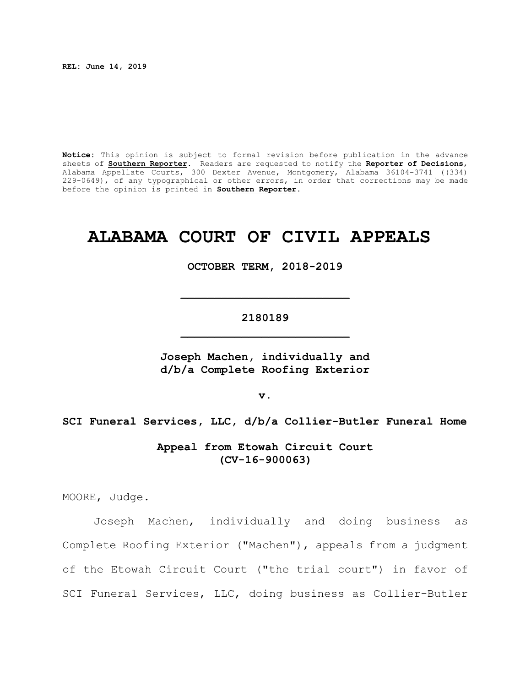**REL: June 14, 2019**

**Notice:** This opinion is subject to formal revision before publication in the advance sheets of **Southern Reporter**. Readers are requested to notify the **Reporter of Decisions**, Alabama Appellate Courts, 300 Dexter Avenue, Montgomery, Alabama 36104-3741 ((334) 229-0649), of any typographical or other errors, in order that corrections may be made before the opinion is printed in **Southern Reporter**.

# **ALABAMA COURT OF CIVIL APPEALS**

**OCTOBER TERM, 2018-2019**

# **2180189 \_\_\_\_\_\_\_\_\_\_\_\_\_\_\_\_\_\_\_\_\_\_\_\_\_**

**\_\_\_\_\_\_\_\_\_\_\_\_\_\_\_\_\_\_\_\_\_\_\_\_\_**

**Joseph Machen, individually and d/b/a Complete Roofing Exterior**

**v.**

**SCI Funeral Services, LLC, d/b/a Collier-Butler Funeral Home**

**Appeal from Etowah Circuit Court (CV-16-900063)**

MOORE, Judge.

Joseph Machen, individually and doing business as Complete Roofing Exterior ("Machen"), appeals from a judgment of the Etowah Circuit Court ("the trial court") in favor of SCI Funeral Services, LLC, doing business as Collier-Butler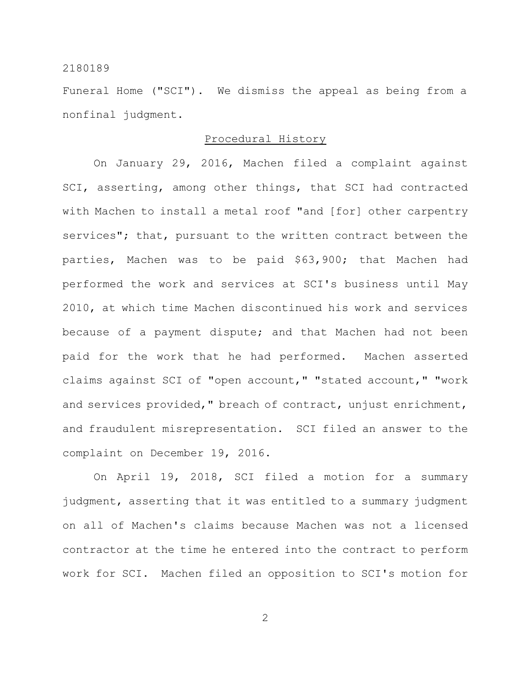Funeral Home ("SCI"). We dismiss the appeal as being from a nonfinal judgment.

#### Procedural History

On January 29, 2016, Machen filed a complaint against SCI, asserting, among other things, that SCI had contracted with Machen to install a metal roof "and [for] other carpentry services"; that, pursuant to the written contract between the parties, Machen was to be paid \$63,900; that Machen had performed the work and services at SCI's business until May 2010, at which time Machen discontinued his work and services because of a payment dispute; and that Machen had not been paid for the work that he had performed. Machen asserted claims against SCI of "open account," "stated account," "work and services provided," breach of contract, unjust enrichment, and fraudulent misrepresentation. SCI filed an answer to the complaint on December 19, 2016.

On April 19, 2018, SCI filed a motion for a summary judgment, asserting that it was entitled to a summary judgment on all of Machen's claims because Machen was not a licensed contractor at the time he entered into the contract to perform work for SCI. Machen filed an opposition to SCI's motion for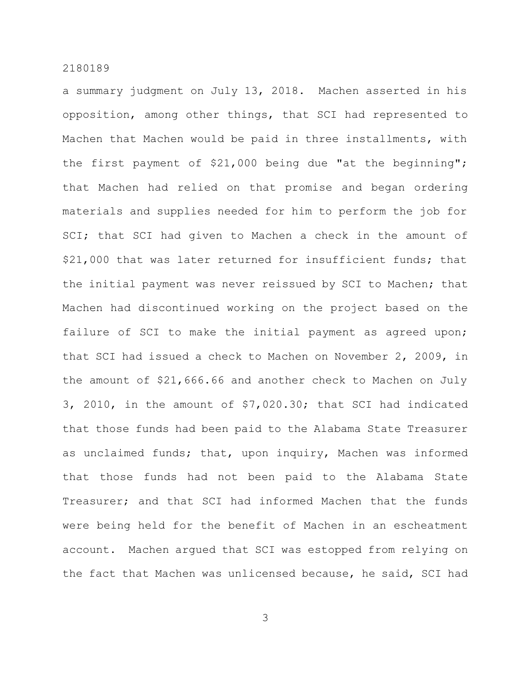a summary judgment on July 13, 2018. Machen asserted in his opposition, among other things, that SCI had represented to Machen that Machen would be paid in three installments, with the first payment of \$21,000 being due "at the beginning"; that Machen had relied on that promise and began ordering materials and supplies needed for him to perform the job for SCI; that SCI had given to Machen a check in the amount of \$21,000 that was later returned for insufficient funds; that the initial payment was never reissued by SCI to Machen; that Machen had discontinued working on the project based on the failure of SCI to make the initial payment as agreed upon; that SCI had issued a check to Machen on November 2, 2009, in the amount of \$21,666.66 and another check to Machen on July 3, 2010, in the amount of \$7,020.30; that SCI had indicated that those funds had been paid to the Alabama State Treasurer as unclaimed funds; that, upon inquiry, Machen was informed that those funds had not been paid to the Alabama State Treasurer; and that SCI had informed Machen that the funds were being held for the benefit of Machen in an escheatment account. Machen argued that SCI was estopped from relying on the fact that Machen was unlicensed because, he said, SCI had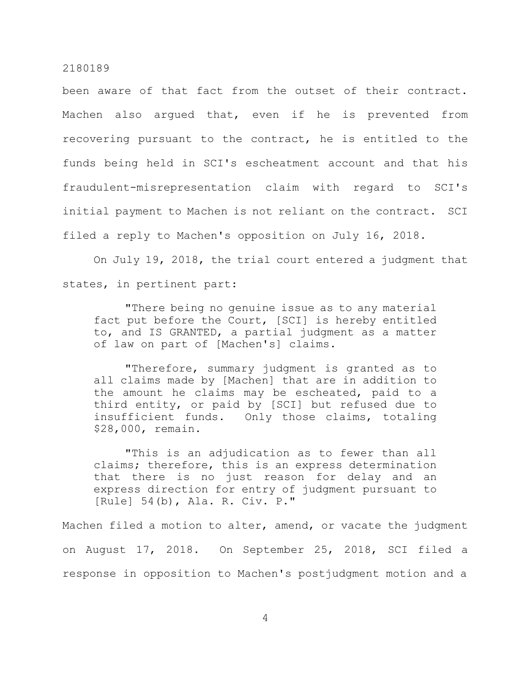been aware of that fact from the outset of their contract. Machen also argued that, even if he is prevented from recovering pursuant to the contract, he is entitled to the funds being held in SCI's escheatment account and that his fraudulent-misrepresentation claim with regard to SCI's initial payment to Machen is not reliant on the contract. SCI filed a reply to Machen's opposition on July 16, 2018.

On July 19, 2018, the trial court entered a judgment that states, in pertinent part:

"There being no genuine issue as to any material fact put before the Court, [SCI] is hereby entitled to, and IS GRANTED, a partial judgment as a matter of law on part of [Machen's] claims.

"Therefore, summary judgment is granted as to all claims made by [Machen] that are in addition to the amount he claims may be escheated, paid to a third entity, or paid by [SCI] but refused due to insufficient funds. Only those claims, totaling \$28,000, remain.

"This is an adjudication as to fewer than all claims; therefore, this is an express determination that there is no just reason for delay and an express direction for entry of judgment pursuant to [Rule] 54(b), Ala. R. Civ. P."

Machen filed a motion to alter, amend, or vacate the judgment on August 17, 2018. On September 25, 2018, SCI filed a response in opposition to Machen's postjudgment motion and a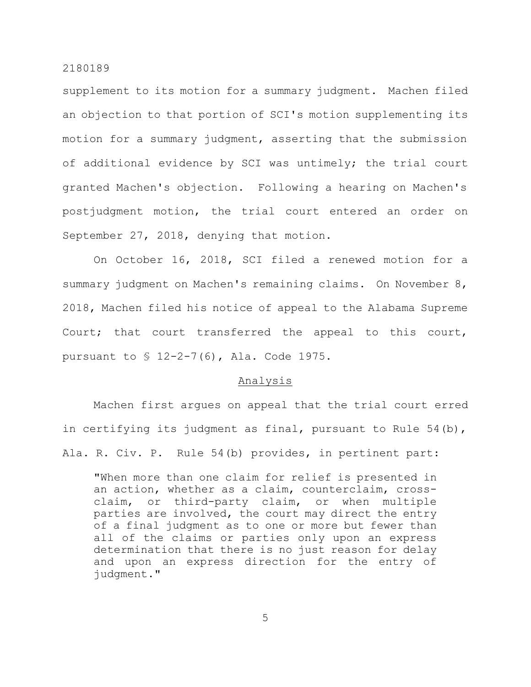supplement to its motion for a summary judgment. Machen filed an objection to that portion of SCI's motion supplementing its motion for a summary judgment, asserting that the submission of additional evidence by SCI was untimely; the trial court granted Machen's objection. Following a hearing on Machen's postjudgment motion, the trial court entered an order on September 27, 2018, denying that motion.

On October 16, 2018, SCI filed a renewed motion for a summary judgment on Machen's remaining claims. On November 8, 2018, Machen filed his notice of appeal to the Alabama Supreme Court; that court transferred the appeal to this court, pursuant to § 12-2-7(6), Ala. Code 1975.

#### Analysis

Machen first argues on appeal that the trial court erred in certifying its judgment as final, pursuant to Rule 54(b), Ala. R. Civ. P. Rule 54(b) provides, in pertinent part:

"When more than one claim for relief is presented in an action, whether as a claim, counterclaim, crossclaim, or third-party claim, or when multiple parties are involved, the court may direct the entry of a final judgment as to one or more but fewer than all of the claims or parties only upon an express determination that there is no just reason for delay and upon an express direction for the entry of judgment."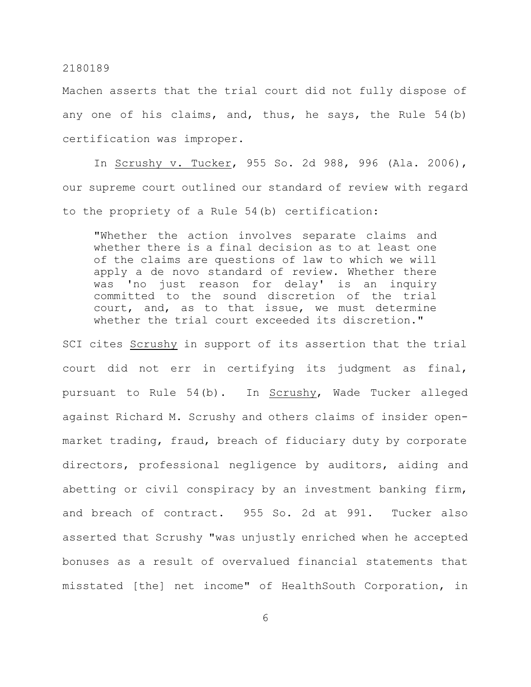Machen asserts that the trial court did not fully dispose of any one of his claims, and, thus, he says, the Rule 54(b) certification was improper.

In Scrushy v. Tucker, 955 So. 2d 988, 996 (Ala. 2006), our supreme court outlined our standard of review with regard to the propriety of a Rule 54(b) certification:

"Whether the action involves separate claims and whether there is a final decision as to at least one of the claims are questions of law to which we will apply a de novo standard of review. Whether there was 'no just reason for delay' is an inquiry committed to the sound discretion of the trial court, and, as to that issue, we must determine whether the trial court exceeded its discretion."

SCI cites Scrushy in support of its assertion that the trial court did not err in certifying its judgment as final, pursuant to Rule 54(b). In Scrushy, Wade Tucker alleged against Richard M. Scrushy and others claims of insider openmarket trading, fraud, breach of fiduciary duty by corporate directors, professional negligence by auditors, aiding and abetting or civil conspiracy by an investment banking firm, and breach of contract. 955 So. 2d at 991. Tucker also asserted that Scrushy "was unjustly enriched when he accepted bonuses as a result of overvalued financial statements that misstated [the] net income" of HealthSouth Corporation, in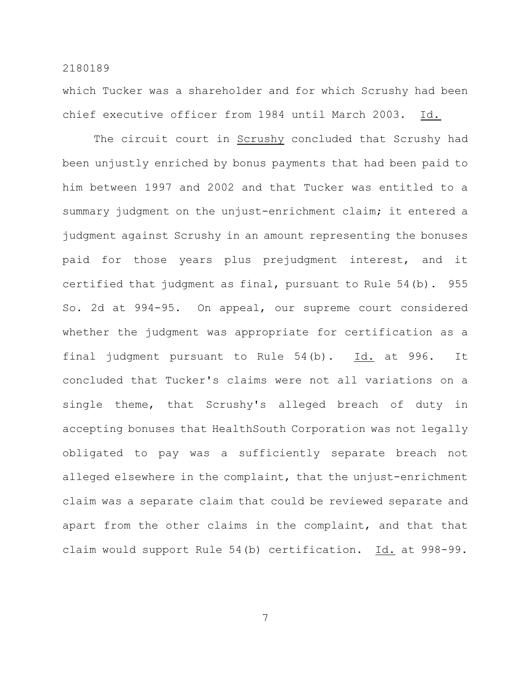which Tucker was a shareholder and for which Scrushy had been chief executive officer from 1984 until March 2003. Id.

The circuit court in Scrushy concluded that Scrushy had been unjustly enriched by bonus payments that had been paid to him between 1997 and 2002 and that Tucker was entitled to a summary judgment on the unjust-enrichment claim; it entered a judgment against Scrushy in an amount representing the bonuses paid for those years plus prejudgment interest, and it certified that judgment as final, pursuant to Rule 54(b). 955 So. 2d at 994-95. On appeal, our supreme court considered whether the judgment was appropriate for certification as a final judgment pursuant to Rule 54(b). Id. at 996. It concluded that Tucker's claims were not all variations on a single theme, that Scrushy's alleged breach of duty in accepting bonuses that HealthSouth Corporation was not legally obligated to pay was a sufficiently separate breach not alleged elsewhere in the complaint, that the unjust-enrichment claim was a separate claim that could be reviewed separate and apart from the other claims in the complaint, and that that claim would support Rule 54(b) certification. Id. at 998-99.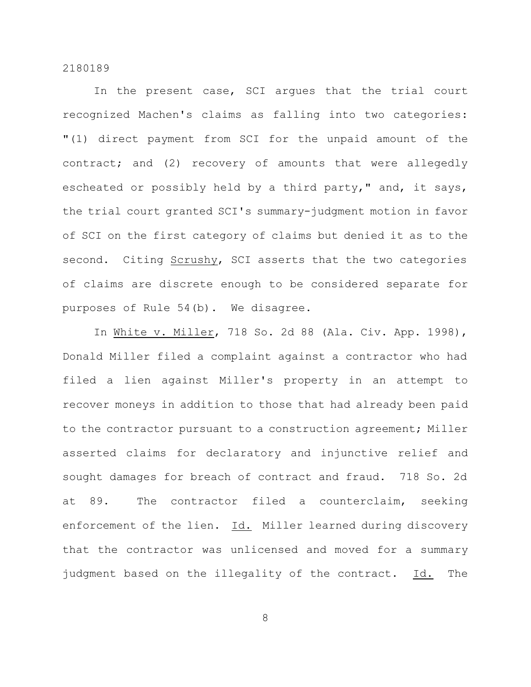In the present case, SCI argues that the trial court recognized Machen's claims as falling into two categories: "(1) direct payment from SCI for the unpaid amount of the contract; and (2) recovery of amounts that were allegedly escheated or possibly held by a third party," and, it says, the trial court granted SCI's summary-judgment motion in favor of SCI on the first category of claims but denied it as to the second. Citing Scrushy, SCI asserts that the two categories of claims are discrete enough to be considered separate for purposes of Rule 54(b). We disagree.

In White v. Miller, 718 So. 2d 88 (Ala. Civ. App. 1998), Donald Miller filed a complaint against a contractor who had filed a lien against Miller's property in an attempt to recover moneys in addition to those that had already been paid to the contractor pursuant to a construction agreement; Miller asserted claims for declaratory and injunctive relief and sought damages for breach of contract and fraud. 718 So. 2d at 89. The contractor filed a counterclaim, seeking enforcement of the lien. Id. Miller learned during discovery that the contractor was unlicensed and moved for a summary judgment based on the illegality of the contract. Id. The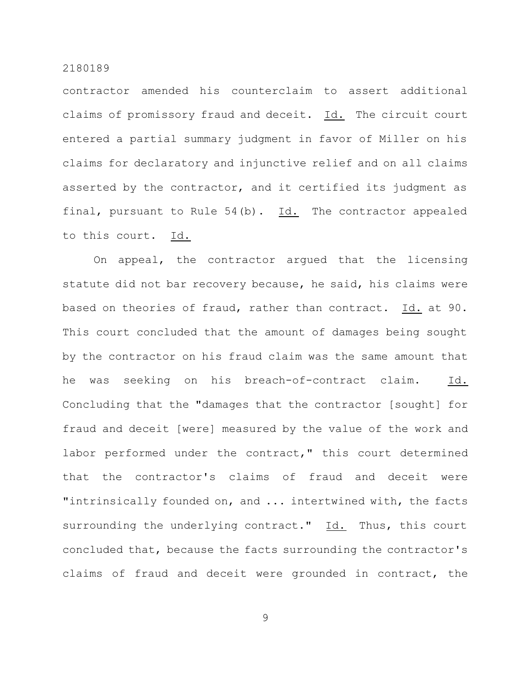contractor amended his counterclaim to assert additional claims of promissory fraud and deceit. Id. The circuit court entered a partial summary judgment in favor of Miller on his claims for declaratory and injunctive relief and on all claims asserted by the contractor, and it certified its judgment as final, pursuant to Rule 54(b). Id. The contractor appealed to this court. Id.

On appeal, the contractor argued that the licensing statute did not bar recovery because, he said, his claims were based on theories of fraud, rather than contract. Id. at 90. This court concluded that the amount of damages being sought by the contractor on his fraud claim was the same amount that he was seeking on his breach-of-contract claim. Id. Concluding that the "damages that the contractor [sought] for fraud and deceit [were] measured by the value of the work and labor performed under the contract," this court determined that the contractor's claims of fraud and deceit were "intrinsically founded on, and ... intertwined with, the facts surrounding the underlying contract." Id. Thus, this court concluded that, because the facts surrounding the contractor's claims of fraud and deceit were grounded in contract, the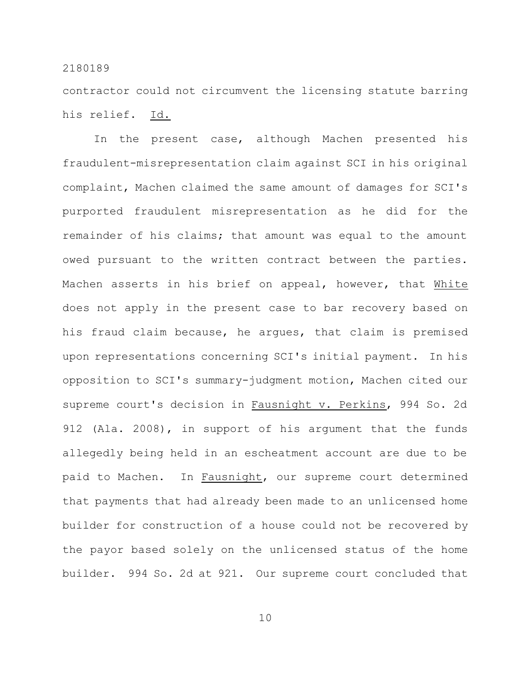contractor could not circumvent the licensing statute barring his relief. Id.

In the present case, although Machen presented his fraudulent-misrepresentation claim against SCI in his original complaint, Machen claimed the same amount of damages for SCI's purported fraudulent misrepresentation as he did for the remainder of his claims; that amount was equal to the amount owed pursuant to the written contract between the parties. Machen asserts in his brief on appeal, however, that White does not apply in the present case to bar recovery based on his fraud claim because, he argues, that claim is premised upon representations concerning SCI's initial payment. In his opposition to SCI's summary-judgment motion, Machen cited our supreme court's decision in Fausnight v. Perkins, 994 So. 2d 912 (Ala. 2008), in support of his argument that the funds allegedly being held in an escheatment account are due to be paid to Machen. In Fausnight, our supreme court determined that payments that had already been made to an unlicensed home builder for construction of a house could not be recovered by the payor based solely on the unlicensed status of the home builder. 994 So. 2d at 921. Our supreme court concluded that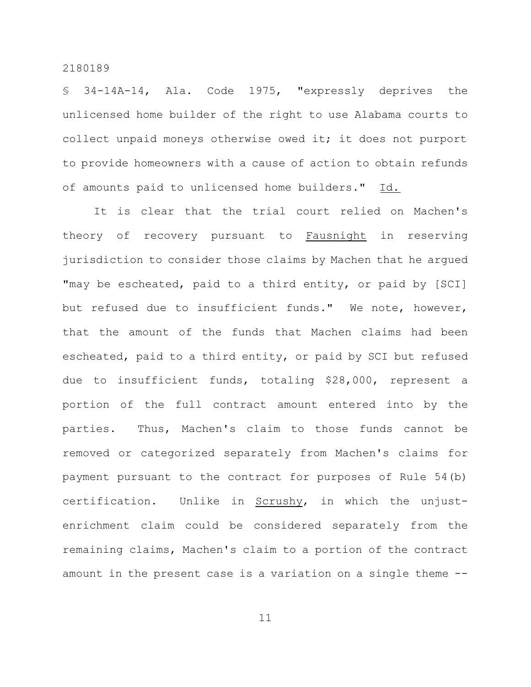§ 34-14A-14, Ala. Code 1975, "expressly deprives the unlicensed home builder of the right to use Alabama courts to collect unpaid moneys otherwise owed it; it does not purport to provide homeowners with a cause of action to obtain refunds of amounts paid to unlicensed home builders." Id.

It is clear that the trial court relied on Machen's theory of recovery pursuant to Fausnight in reserving jurisdiction to consider those claims by Machen that he argued "may be escheated, paid to a third entity, or paid by [SCI] but refused due to insufficient funds." We note, however, that the amount of the funds that Machen claims had been escheated, paid to a third entity, or paid by SCI but refused due to insufficient funds, totaling \$28,000, represent a portion of the full contract amount entered into by the parties. Thus, Machen's claim to those funds cannot be removed or categorized separately from Machen's claims for payment pursuant to the contract for purposes of Rule 54(b) certification. Unlike in Scrushy, in which the unjustenrichment claim could be considered separately from the remaining claims, Machen's claim to a portion of the contract amount in the present case is a variation on a single theme --